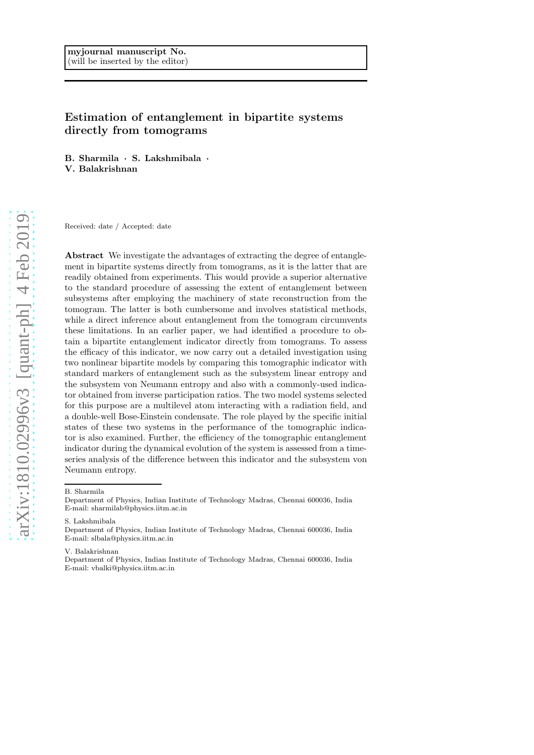# Estimation of entanglement in bipartite systems directly from tomograms

B. Sharmila · S. Lakshmibala · V. Balakrishnan

Received: date / Accepted: date

Abstract We investigate the advantages of extracting the degree of entanglement in bipartite systems directly from tomograms, as it is the latter that are readily obtained from experiments. This would provide a superior alternative to the standard procedure of assessing the extent of entanglement between subsystems after employing the machinery of state reconstruction from the tomogram. The latter is both cumbersome and involves statistical methods, while a direct inference about entanglement from the tomogram circumvents these limitations. In an earlier paper, we had identified a procedure to obtain a bipartite entanglement indicator directly from tomograms. To assess the efficacy of this indicator, we now carry out a detailed investigation using two nonlinear bipartite models by comparing this tomographic indicator with standard markers of entanglement such as the subsystem linear entropy and the subsystem von Neumann entropy and also with a commonly-used indicator obtained from inverse participation ratios. The two model systems selected for this purpose are a multilevel atom interacting with a radiation field, and a double-well Bose-Einstein condensate. The role played by the specific initial states of these two systems in the performance of the tomographic indicator is also examined. Further, the efficiency of the tomographic entanglement indicator during the dynamical evolution of the system is assessed from a timeseries analysis of the difference between this indicator and the subsystem von Neumann entropy.

#### B. Sharmila

S. Lakshmibala

V. Balakrishnan

Department of Physics, Indian Institute of Technology Madras, Chennai 600036, India E-mail: sharmilab@physics.iitm.ac.in

Department of Physics, Indian Institute of Technology Madras, Chennai 600036, India E-mail: slbala@physics.iitm.ac.in

Department of Physics, Indian Institute of Technology Madras, Chennai 600036, India E-mail: vbalki@physics.iitm.ac.in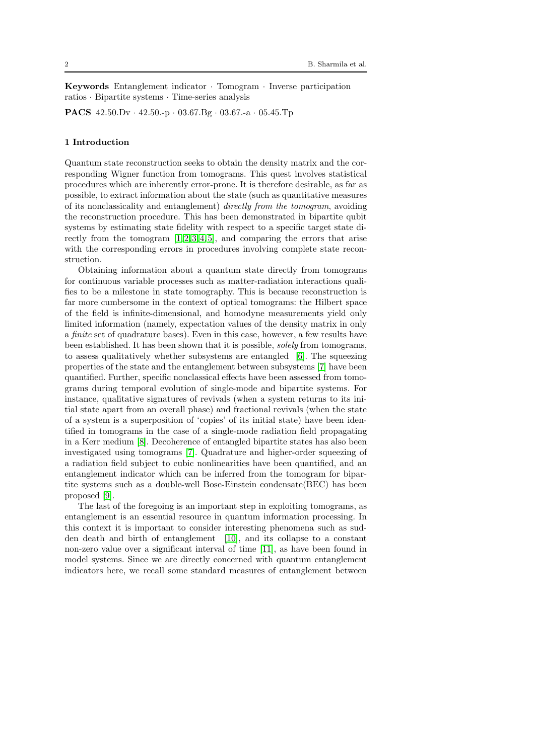Keywords Entanglement indicator · Tomogram · Inverse participation ratios · Bipartite systems · Time-series analysis

PACS 42.50.Dv · 42.50.-p · 03.67.Bg · 03.67.-a · 05.45.Tp

# 1 Introduction

Quantum state reconstruction seeks to obtain the density matrix and the corresponding Wigner function from tomograms. This quest involves statistical procedures which are inherently error-prone. It is therefore desirable, as far as possible, to extract information about the state (such as quantitative measures of its nonclassicality and entanglement) directly from the tomogram, avoiding the reconstruction procedure. This has been demonstrated in bipartite qubit systems by estimating state fidelity with respect to a specific target state directly from the tomogram  $[1,2,3,4,5]$  $[1,2,3,4,5]$  $[1,2,3,4,5]$  $[1,2,3,4,5]$  $[1,2,3,4,5]$ , and comparing the errors that arise with the corresponding errors in procedures involving complete state reconstruction.

Obtaining information about a quantum state directly from tomograms for continuous variable processes such as matter-radiation interactions qualifies to be a milestone in state tomography. This is because reconstruction is far more cumbersome in the context of optical tomograms: the Hilbert space of the field is infinite-dimensional, and homodyne measurements yield only limited information (namely, expectation values of the density matrix in only a finite set of quadrature bases). Even in this case, however, a few results have been established. It has been shown that it is possible, solely from tomograms, to assess qualitatively whether subsystems are entangled [\[6\]](#page-15-5). The squeezing properties of the state and the entanglement between subsystems [\[7\]](#page-15-6) have been quantified. Further, specific nonclassical effects have been assessed from tomograms during temporal evolution of single-mode and bipartite systems. For instance, qualitative signatures of revivals (when a system returns to its initial state apart from an overall phase) and fractional revivals (when the state of a system is a superposition of 'copies' of its initial state) have been identified in tomograms in the case of a single-mode radiation field propagating in a Kerr medium [\[8\]](#page-15-7). Decoherence of entangled bipartite states has also been investigated using tomograms [\[7\]](#page-15-6). Quadrature and higher-order squeezing of a radiation field subject to cubic nonlinearities have been quantified, and an entanglement indicator which can be inferred from the tomogram for bipartite systems such as a double-well Bose-Einstein condensate(BEC) has been proposed [\[9\]](#page-15-8).

The last of the foregoing is an important step in exploiting tomograms, as entanglement is an essential resource in quantum information processing. In this context it is important to consider interesting phenomena such as sudden death and birth of entanglement [\[10\]](#page-15-9), and its collapse to a constant non-zero value over a significant interval of time [\[11\]](#page-15-10), as have been found in model systems. Since we are directly concerned with quantum entanglement indicators here, we recall some standard measures of entanglement between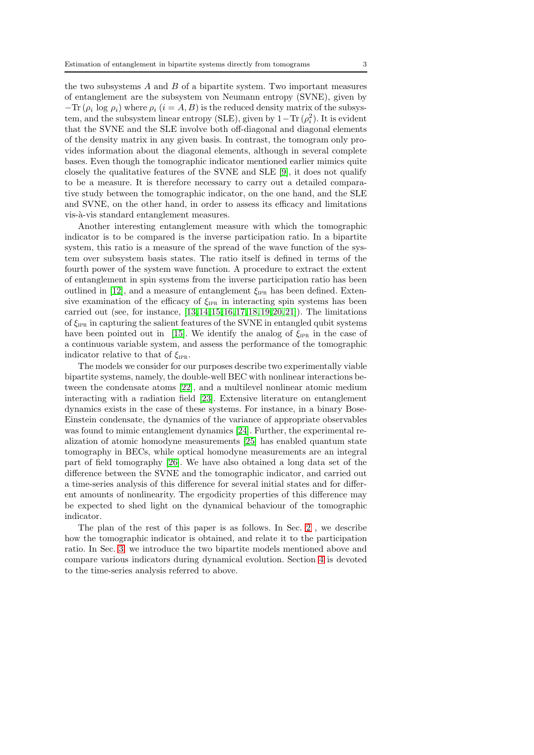the two subsystems  $A$  and  $B$  of a bipartite system. Two important measures of entanglement are the subsystem von Neumann entropy (SVNE), given by  $-\text{Tr}(\rho_i \log \rho_i)$  where  $\rho_i$   $(i = A, B)$  is the reduced density matrix of the subsystem, and the subsystem linear entropy (SLE), given by  $1-\text{Tr}(\rho_i^2)$ . It is evident that the SVNE and the SLE involve both off-diagonal and diagonal elements of the density matrix in any given basis. In contrast, the tomogram only provides information about the diagonal elements, although in several complete bases. Even though the tomographic indicator mentioned earlier mimics quite closely the qualitative features of the SVNE and SLE [\[9\]](#page-15-8), it does not qualify to be a measure. It is therefore necessary to carry out a detailed comparative study between the tomographic indicator, on the one hand, and the SLE and SVNE, on the other hand, in order to assess its efficacy and limitations vis-à-vis standard entanglement measures.

Another interesting entanglement measure with which the tomographic indicator is to be compared is the inverse participation ratio. In a bipartite system, this ratio is a measure of the spread of the wave function of the system over subsystem basis states. The ratio itself is defined in terms of the fourth power of the system wave function. A procedure to extract the extent of entanglement in spin systems from the inverse participation ratio has been outlined in [\[12\]](#page-15-11), and a measure of entanglement  $\xi_{IPR}$  has been defined. Extensive examination of the efficacy of  $\xi_{IPR}$  in interacting spin systems has been carried out (see, for instance,  $[13, 14, 15, 16, 17, 18, 19, 20, 21]$  $[13, 14, 15, 16, 17, 18, 19, 20, 21]$  $[13, 14, 15, 16, 17, 18, 19, 20, 21]$  $[13, 14, 15, 16, 17, 18, 19, 20, 21]$  $[13, 14, 15, 16, 17, 18, 19, 20, 21]$  $[13, 14, 15, 16, 17, 18, 19, 20, 21]$  $[13, 14, 15, 16, 17, 18, 19, 20, 21]$  $[13, 14, 15, 16, 17, 18, 19, 20, 21]$  $[13, 14, 15, 16, 17, 18, 19, 20, 21]$  $[13, 14, 15, 16, 17, 18, 19, 20, 21]$  $[13, 14, 15, 16, 17, 18, 19, 20, 21]$  $[13, 14, 15, 16, 17, 18, 19, 20, 21]$  $[13, 14, 15, 16, 17, 18, 19, 20, 21]$  $[13, 14, 15, 16, 17, 18, 19, 20, 21]$  $[13, 14, 15, 16, 17, 18, 19, 20, 21]$  $[13, 14, 15, 16, 17, 18, 19, 20, 21]$ ). The limitations of  $\xi_{IPR}$  in capturing the salient features of the SVNE in entangled qubit systems have been pointed out in [\[15\]](#page-15-14). We identify the analog of  $\xi_{\text{IPR}}$  in the case of a continuous variable system, and assess the performance of the tomographic indicator relative to that of  $\xi_{IPR}$ .

The models we consider for our purposes describe two experimentally viable bipartite systems, namely, the double-well BEC with nonlinear interactions between the condensate atoms [\[22\]](#page-15-21), and a multilevel nonlinear atomic medium interacting with a radiation field [\[23\]](#page-15-22). Extensive literature on entanglement dynamics exists in the case of these systems. For instance, in a binary Bose-Einstein condensate, the dynamics of the variance of appropriate observables was found to mimic entanglement dynamics [\[24\]](#page-15-23). Further, the experimental realization of atomic homodyne measurements [\[25\]](#page-15-24) has enabled quantum state tomography in BECs, while optical homodyne measurements are an integral part of field tomography [\[26\]](#page-15-25). We have also obtained a long data set of the difference between the SVNE and the tomographic indicator, and carried out a time-series analysis of this difference for several initial states and for different amounts of nonlinearity. The ergodicity properties of this difference may be expected to shed light on the dynamical behaviour of the tomographic indicator.

The plan of the rest of this paper is as follows. In Sec. [2](#page-3-0) , we describe how the tomographic indicator is obtained, and relate it to the participation ratio. In Sec. [3,](#page-5-0) we introduce the two bipartite models mentioned above and compare various indicators during dynamical evolution. Section [4](#page-10-0) is devoted to the time-series analysis referred to above.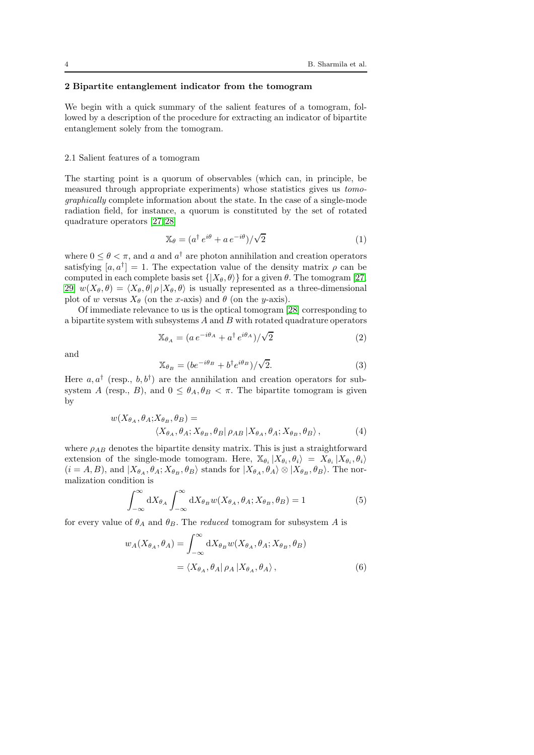# <span id="page-3-0"></span>2 Bipartite entanglement indicator from the tomogram

We begin with a quick summary of the salient features of a tomogram, followed by a description of the procedure for extracting an indicator of bipartite entanglement solely from the tomogram.

### 2.1 Salient features of a tomogram

The starting point is a quorum of observables (which can, in principle, be measured through appropriate experiments) whose statistics gives us tomographically complete information about the state. In the case of a single-mode radiation field, for instance, a quorum is constituted by the set of rotated quadrature operators [\[27,](#page-15-26)[28\]](#page-15-27)

$$
\mathbb{X}_{\theta} = (a^{\dagger} e^{i\theta} + a e^{-i\theta})/\sqrt{2}
$$
 (1)

where  $0 \leq \theta < \pi$ , and a and  $a^{\dagger}$  are photon annihilation and creation operators satisfying  $[a, a^{\dagger}] = 1$ . The expectation value of the density matrix  $\rho$  can be computed in each complete basis set  $\{|X_{\theta}, \theta\rangle\}$  for a given  $\theta$ . The tomogram [\[27,](#page-15-26) [29\]](#page-15-28)  $w(X_{\theta}, \theta) = \langle X_{\theta}, \theta | \rho | X_{\theta}, \theta \rangle$  is usually represented as a three-dimensional plot of w versus  $X_{\theta}$  (on the x-axis) and  $\theta$  (on the y-axis).

Of immediate relevance to us is the optical tomogram [\[28\]](#page-15-27) corresponding to a bipartite system with subsystems  $A$  and  $B$  with rotated quadrature operators

$$
\mathbb{X}_{\theta_A} = (a e^{-i\theta_A} + a^\dagger e^{i\theta_A})/\sqrt{2}
$$
 (2)

and

$$
\mathbb{X}_{\theta_B} = (be^{-i\theta_B} + b^{\dagger}e^{i\theta_B})/\sqrt{2}.
$$
\n(3)

Here  $a, a^{\dagger}$  (resp.,  $b, b^{\dagger}$ ) are the annihilation and creation operators for subsystem A (resp., B), and  $0 \leq \theta_A, \theta_B < \pi$ . The bipartite tomogram is given by

$$
w(X_{\theta_A}, \theta_A; X_{\theta_B}, \theta_B) =
$$
  

$$
\langle X_{\theta_A}, \theta_A; X_{\theta_B}, \theta_B | \rho_{AB} | X_{\theta_A}, \theta_A; X_{\theta_B}, \theta_B \rangle,
$$
 (4)

where  $\rho_{AB}$  denotes the bipartite density matrix. This is just a straightforward extension of the single-mode tomogram. Here,  $\mathbb{X}_{\theta_i} | X_{\theta_i}, \theta_i \rangle = X_{\theta_i} | X_{\theta_i}, \theta_i \rangle$  $(i = A, B)$ , and  $|X_{\theta_A}, \theta_A; X_{\theta_B}, \theta_B\rangle$  stands for  $|X_{\theta_A}, \theta_A\rangle \otimes |X_{\theta_B}, \theta_B\rangle$ . The normalization condition is

$$
\int_{-\infty}^{\infty} dX_{\theta_A} \int_{-\infty}^{\infty} dX_{\theta_B} w(X_{\theta_A}, \theta_A; X_{\theta_B}, \theta_B) = 1
$$
 (5)

for every value of  $\theta_A$  and  $\theta_B$ . The *reduced* tomogram for subsystem A is

$$
w_A(X_{\theta_A}, \theta_A) = \int_{-\infty}^{\infty} dX_{\theta_B} w(X_{\theta_A}, \theta_A; X_{\theta_B}, \theta_B)
$$
  
=  $\langle X_{\theta_A}, \theta_A | \rho_A | X_{\theta_A}, \theta_A \rangle$ , (6)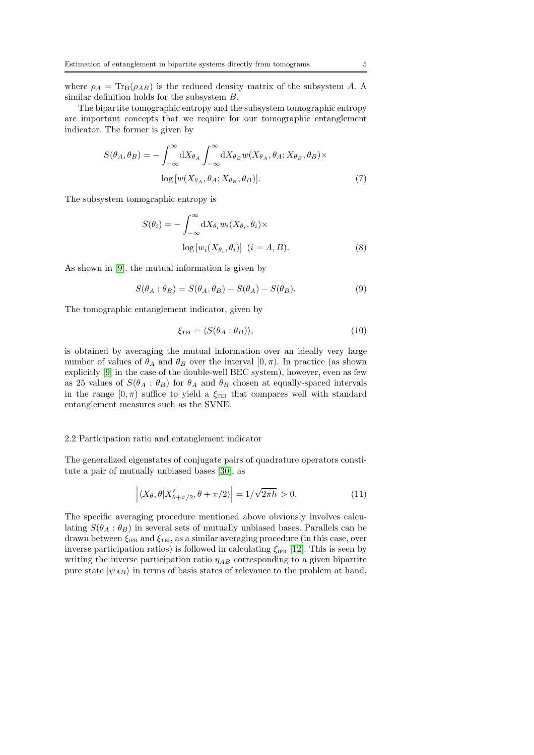where  $\rho_A = \text{Tr}_{\text{B}}(\rho_{AB})$  is the reduced density matrix of the subsystem A. A similar definition holds for the subsystem B.

The bipartite tomographic entropy and the subsystem tomographic entropy are important concepts that we require for our tomographic entanglement indicator. The former is given by

$$
S(\theta_A, \theta_B) = -\int_{-\infty}^{\infty} dX_{\theta_A} \int_{-\infty}^{\infty} dX_{\theta_B} w(X_{\theta_A}, \theta_A; X_{\theta_B}, \theta_B) \times \log \left[ w(X_{\theta_A}, \theta_A; X_{\theta_B}, \theta_B) \right].
$$
 (7)

The subsystem tomographic entropy is

$$
S(\theta_i) = -\int_{-\infty}^{\infty} dX_{\theta_i} w_i (X_{\theta_i}, \theta_i) \times
$$

$$
\log [w_i (X_{\theta_i}, \theta_i)] \ (i = A, B).
$$
(8)

As shown in [\[9\]](#page-15-8), the mutual information is given by

$$
S(\theta_A : \theta_B) = S(\theta_A, \theta_B) - S(\theta_A) - S(\theta_B). \tag{9}
$$

The tomographic entanglement indicator, given by

$$
\xi_{\text{TEI}} = \langle S(\theta_A : \theta_B) \rangle, \tag{10}
$$

is obtained by averaging the mutual information over an ideally very large number of values of  $\theta_A$  and  $\theta_B$  over the interval  $[0, \pi)$ . In practice (as shown explicitly [\[9\]](#page-15-8) in the case of the double-well BEC system), however, even as few as 25 values of  $S(\theta_A : \theta_B)$  for  $\theta_A$  and  $\theta_B$  chosen at equally-spaced intervals in the range  $[0, \pi)$  suffice to yield a  $\xi_{\text{TEI}}$  that compares well with standard entanglement measures such as the SVNE.

#### 2.2 Participation ratio and entanglement indicator

The generalized eigenstates of conjugate pairs of quadrature operators constitute a pair of mutually unbiased bases [\[30\]](#page-15-29), as

$$
\left| \langle X_{\theta}, \theta | X'_{\theta + \pi/2}, \theta + \pi/2 \rangle \right| = 1/\sqrt{2\pi\hbar} > 0.
$$
 (11)

The specific averaging procedure mentioned above obviously involves calculating  $S(\theta_A : \theta_B)$  in several sets of mutually unbiased bases. Parallels can be drawn between  $\xi_{\text{IPR}}$  and  $\xi_{\text{TEI}}$ , as a similar averaging procedure (in this case, over inverse participation ratios) is followed in calculating  $\xi_{IPR}$  [\[12\]](#page-15-11). This is seen by writing the inverse participation ratio  $\eta_{AB}$  corresponding to a given bipartite pure state  $|\psi_{AB}\rangle$  in terms of basis states of relevance to the problem at hand,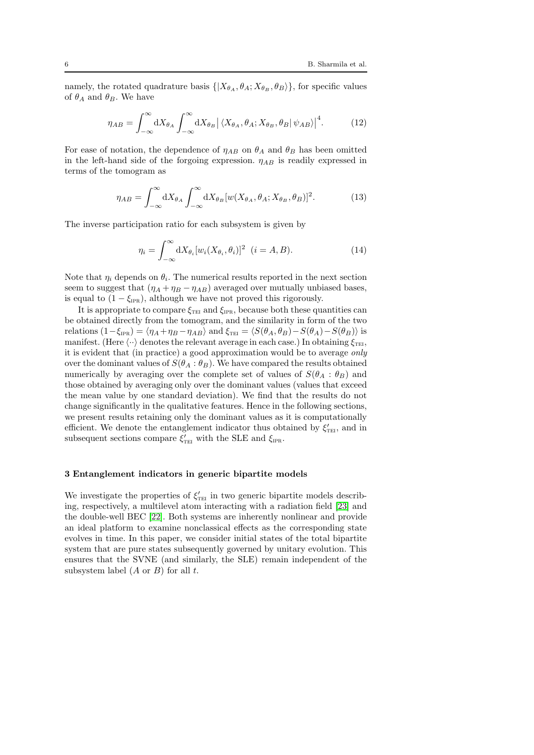namely, the rotated quadrature basis  $\{X_{\theta_A}, \theta_A; X_{\theta_B}, \theta_B\}$ , for specific values of  $\theta_A$  and  $\theta_B$ . We have

$$
\eta_{AB} = \int_{-\infty}^{\infty} dX_{\theta_A} \int_{-\infty}^{\infty} dX_{\theta_B} \left| \left\langle X_{\theta_A}, \theta_A; X_{\theta_B}, \theta_B | \psi_{AB} \right\rangle \right|^4. \tag{12}
$$

For ease of notation, the dependence of  $\eta_{AB}$  on  $\theta_A$  and  $\theta_B$  has been omitted in the left-hand side of the forgoing expression.  $\eta_{AB}$  is readily expressed in terms of the tomogram as

$$
\eta_{AB} = \int_{-\infty}^{\infty} dX_{\theta_A} \int_{-\infty}^{\infty} dX_{\theta_B} [w(X_{\theta_A}, \theta_A; X_{\theta_B}, \theta_B)]^2.
$$
 (13)

The inverse participation ratio for each subsystem is given by

$$
\eta_i = \int_{-\infty}^{\infty} dX_{\theta_i} [w_i(X_{\theta_i}, \theta_i)]^2 \quad (i = A, B).
$$
 (14)

Note that  $\eta_i$  depends on  $\theta_i$ . The numerical results reported in the next section seem to suggest that  $(\eta_A + \eta_B - \eta_{AB})$  averaged over mutually unbiased bases, is equal to  $(1 - \xi_{IPR})$ , although we have not proved this rigorously.

It is appropriate to compare  $\xi_{\text{TEI}}$  and  $\xi_{\text{IPR}}$ , because both these quantities can be obtained directly from the tomogram, and the similarity in form of the two relations  $(1-\xi_{IPR}) = \langle \eta_A + \eta_B - \eta_{AB} \rangle$  and  $\xi_{TEI} = \langle S(\theta_A, \theta_B) - S(\theta_A) - S(\theta_B) \rangle$  is manifest. (Here  $\langle \cdot \cdot \rangle$  denotes the relevant average in each case.) In obtaining  $\xi_{\text{TEI}}$ , it is evident that (in practice) a good approximation would be to average only over the dominant values of  $S(\theta_A : \theta_B)$ . We have compared the results obtained numerically by averaging over the complete set of values of  $S(\theta_A : \theta_B)$  and those obtained by averaging only over the dominant values (values that exceed the mean value by one standard deviation). We find that the results do not change significantly in the qualitative features. Hence in the following sections, we present results retaining only the dominant values as it is computationally efficient. We denote the entanglement indicator thus obtained by  $\xi'_{\text{TEI}}$ , and in subsequent sections compare  $\xi'_{\text{ref}}$  with the SLE and  $\xi_{\text{IPR}}$ .

### <span id="page-5-0"></span>3 Entanglement indicators in generic bipartite models

We investigate the properties of  $\xi'_{\text{TEI}}$  in two generic bipartite models describing, respectively, a multilevel atom interacting with a radiation field [\[23\]](#page-15-22) and the double-well BEC [\[22\]](#page-15-21). Both systems are inherently nonlinear and provide an ideal platform to examine nonclassical effects as the corresponding state evolves in time. In this paper, we consider initial states of the total bipartite system that are pure states subsequently governed by unitary evolution. This ensures that the SVNE (and similarly, the SLE) remain independent of the subsystem label  $(A \text{ or } B)$  for all  $t$ .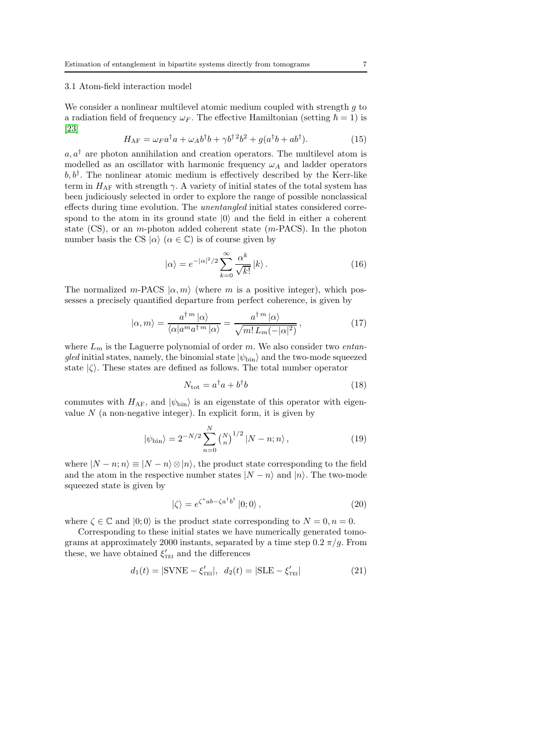# 3.1 Atom-field interaction model

We consider a nonlinear multilevel atomic medium coupled with strength  $g$  to a radiation field of frequency  $\omega_F$ . The effective Hamiltonian (setting  $\hbar = 1$ ) is [\[23\]](#page-15-22)

$$
H_{\rm AF} = \omega_F a^\dagger a + \omega_A b^\dagger b + \gamma b^{\dagger 2} b^2 + g(a^\dagger b + a b^\dagger). \tag{15}
$$

 $a, a^{\dagger}$  are photon annihilation and creation operators. The multilevel atom is modelled as an oscillator with harmonic frequency  $\omega_A$  and ladder operators  $b, b^{\dagger}$ . The nonlinear atomic medium is effectively described by the Kerr-like term in  $H_{AF}$  with strength  $\gamma$ . A variety of initial states of the total system has been judiciously selected in order to explore the range of possible nonclassical effects during time evolution. The unentangled initial states considered correspond to the atom in its ground state  $|0\rangle$  and the field in either a coherent state  $(CS)$ , or an m-photon added coherent state  $(m-PACS)$ . In the photon number basis the CS  $|\alpha\rangle$  ( $\alpha \in \mathbb{C}$ ) is of course given by

$$
|\alpha\rangle = e^{-|\alpha|^2/2} \sum_{k=0}^{\infty} \frac{\alpha^k}{\sqrt{k!}} |k\rangle.
$$
 (16)

The normalized m-PACS  $|\alpha, m\rangle$  (where m is a positive integer), which possesses a precisely quantified departure from perfect coherence, is given by

<span id="page-6-2"></span>
$$
|\alpha, m\rangle = \frac{a^{\dagger m} |\alpha\rangle}{\langle \alpha | a^m a^{\dagger m} | \alpha \rangle} = \frac{a^{\dagger m} |\alpha\rangle}{\sqrt{m! \, L_m(-|\alpha|^2)}},\tag{17}
$$

where  $L_m$  is the Laguerre polynomial of order m. We also consider two *entan*gled initial states, namely, the binomial state  $|\psi_{\text{bin}}\rangle$  and the two-mode squeezed state  $|\zeta\rangle$ . These states are defined as follows. The total number operator

$$
N_{\text{tot}} = a^{\dagger}a + b^{\dagger}b \tag{18}
$$

commutes with  $H_{\rm AF}$ , and  $|\psi_{\rm bin}\rangle$  is an eigenstate of this operator with eigenvalue  $N$  (a non-negative integer). In explicit form, it is given by

<span id="page-6-0"></span>
$$
|\psi_{\text{bin}}\rangle = 2^{-N/2} \sum_{n=0}^{N} \binom{N}{n}^{1/2} |N - n; n\rangle , \qquad (19)
$$

where  $|N - n; n \rangle \equiv |N - n \rangle \otimes |n \rangle$ , the product state corresponding to the field and the atom in the respective number states  $|N - n\rangle$  and  $|n\rangle$ . The two-mode squeezed state is given by

<span id="page-6-1"></span>
$$
|\zeta\rangle = e^{\zeta^*ab - \zeta a^\dagger b^\dagger} |0;0\rangle, \qquad (20)
$$

where  $\zeta \in \mathbb{C}$  and  $|0;0\rangle$  is the product state corresponding to  $N = 0, n = 0$ .

Corresponding to these initial states we have numerically generated tomograms at approximately 2000 instants, separated by a time step  $0.2 \pi/g$ . From these, we have obtained  $\xi'_{\text{TEI}}$  and the differences

$$
d_1(t) = |SVME - \xi'_{\text{TEI}}|, \ d_2(t) = |SLE - \xi'_{\text{TEI}}| \tag{21}
$$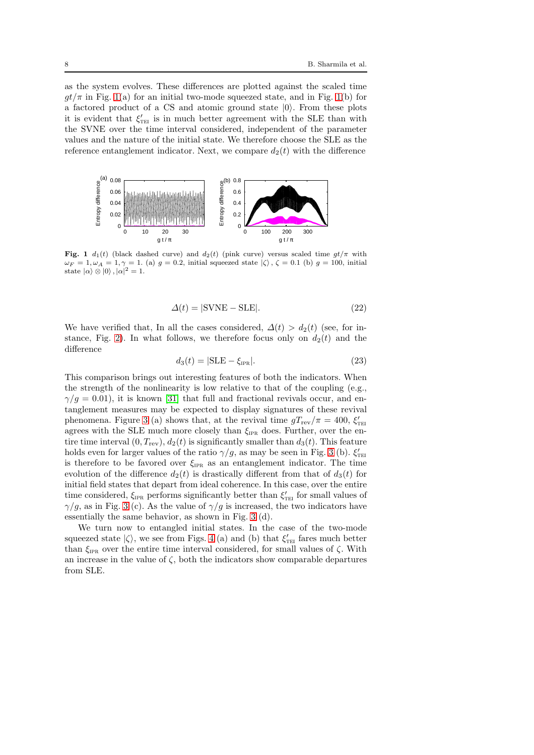as the system evolves. These differences are plotted against the scaled time  $gt/\pi$  in Fig. [1\(](#page-7-0)a) for an initial two-mode squeezed state, and in Fig. 1(b) for a factored product of a CS and atomic ground state  $|0\rangle$ . From these plots it is evident that  $\xi'_{\text{TEI}}$  is in much better agreement with the SLE than with the SVNE over the time interval considered, independent of the parameter values and the nature of the initial state. We therefore choose the SLE as the reference entanglement indicator. Next, we compare  $d_2(t)$  with the difference



<span id="page-7-0"></span>Fig. 1  $d_1(t)$  (black dashed curve) and  $d_2(t)$  (pink curve) versus scaled time  $gt/\pi$  with  $\omega_F = 1, \omega_A = 1, \gamma = 1$ . (a)  $g = 0.2$ , initial squeezed state  $|\zeta\rangle$ ,  $\zeta = 0.1$  (b)  $g = 100$ , initial state  $|\alpha\rangle \otimes |0\rangle$ ,  $|\alpha|^2 = 1$ .

$$
\Delta(t) = |\text{SVNE} - \text{SLE}|. \tag{22}
$$

We have verified that, In all the cases considered,  $\Delta(t) > d_2(t)$  (see, for in-stance, Fig. [2\)](#page-8-0). In what follows, we therefore focus only on  $d_2(t)$  and the difference

$$
d_3(t) = |\text{SLE} - \xi_{\text{IPR}}|.\tag{23}
$$

This comparison brings out interesting features of both the indicators. When the strength of the nonlinearity is low relative to that of the coupling  $(e.g.,)$  $\gamma/g = 0.01$ , it is known [\[31\]](#page-15-30) that full and fractional revivals occur, and entanglement measures may be expected to display signatures of these revival phenomena. Figure [3](#page-8-1) (a) shows that, at the revival time  $gT_{\text{rev}}/\pi = 400$ ,  $\xi_{\text{TE}}'$ agrees with the SLE much more closely than  $\xi_{\text{IPR}}$  does. Further, over the entire time interval  $(0, T_{\text{rev}}), d_2(t)$  is significantly smaller than  $d_3(t)$ . This feature holds even for larger values of the ratio  $\gamma/g$ , as may be seen in Fig. [3](#page-8-1) (b).  $\xi'_{\text{ref}}$ is therefore to be favored over  $\xi_{IPR}$  as an entanglement indicator. The time evolution of the difference  $d_2(t)$  is drastically different from that of  $d_3(t)$  for initial field states that depart from ideal coherence. In this case, over the entire time considered,  $\xi_{\text{IPR}}$  performs significantly better than  $\xi'_{\text{TE}}$  for small values of  $\gamma/g$ , as in Fig. [3](#page-8-1) (c). As the value of  $\gamma/g$  is increased, the two indicators have essentially the same behavior, as shown in Fig. [3](#page-8-1) (d).

We turn now to entangled initial states. In the case of the two-mode squeezed state  $|\zeta\rangle$ , we see from Figs. [4](#page-8-2) (a) and (b) that  $\xi'_{\text{\tiny{TEI}}}$  fares much better than  $\xi_{\text{IPR}}$  over the entire time interval considered, for small values of  $\zeta$ . With an increase in the value of  $\zeta$ , both the indicators show comparable departures from SLE.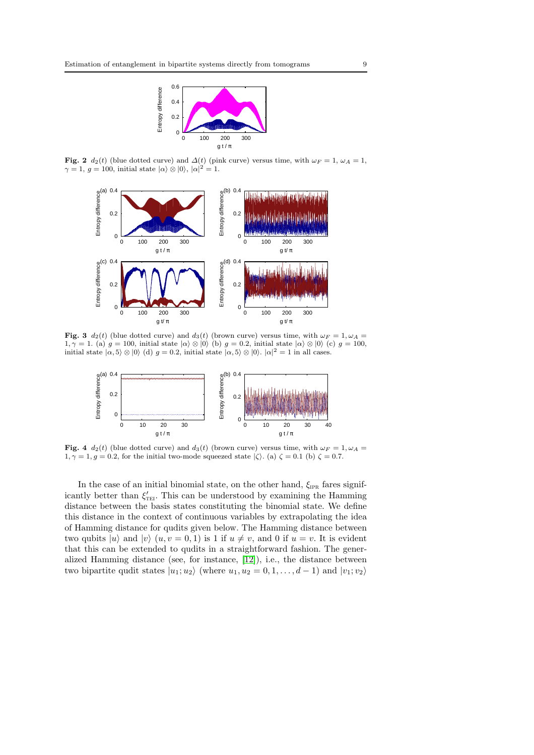

Fig. 2  $d_2(t)$  (blue dotted curve) and  $\Delta(t)$  (pink curve) versus time, with  $\omega_F = 1$ ,  $\omega_A = 1$ ,  $\gamma = 1, g = 100$ , initial state  $|\alpha\rangle \otimes |0\rangle$ ,  $|\alpha|^2 = 1$ .

<span id="page-8-0"></span>

Fig. 3  $d_2(t)$  (blue dotted curve) and  $d_3(t)$  (brown curve) versus time, with  $\omega_F = 1, \omega_A =$ 1,  $\gamma = 1$ . (a)  $g = 100$ , initial state  $|\alpha\rangle \otimes |0\rangle$  (b)  $g = 0.2$ , initial state  $|\alpha\rangle \otimes |0\rangle$  (c)  $g = 100$ , initial state  $|\alpha, 5\rangle \otimes |0\rangle$  (d)  $g = 0.2$ , initial state  $|\alpha, 5\rangle \otimes |0\rangle$ .  $|\alpha|^2 = 1$  in all cases.

<span id="page-8-1"></span>

<span id="page-8-2"></span>Fig. 4  $d_2(t)$  (blue dotted curve) and  $d_3(t)$  (brown curve) versus time, with  $\omega_F = 1, \omega_A =$  $1, \gamma = 1, g = 0.2$ , for the initial two-mode squeezed state  $|\zeta\rangle$ . (a)  $\zeta = 0.1$  (b)  $\zeta = 0.7$ .

In the case of an initial binomial state, on the other hand,  $\xi_{IPR}$  fares significantly better than  $\xi'_{\text{TEI}}$ . This can be understood by examining the Hamming distance between the basis states constituting the binomial state. We define this distance in the context of continuous variables by extrapolating the idea of Hamming distance for qudits given below. The Hamming distance between two qubits  $|u\rangle$  and  $|v\rangle$   $(u, v = 0, 1)$  is 1 if  $u \neq v$ , and 0 if  $u = v$ . It is evident that this can be extended to qudits in a straightforward fashion. The generalized Hamming distance (see, for instance, [\[12\]](#page-15-11)), i.e., the distance between two bipartite qudit states  $|u_1; u_2\rangle$  (where  $u_1, u_2 = 0, 1, \ldots, d-1$ ) and  $|v_1; v_2\rangle$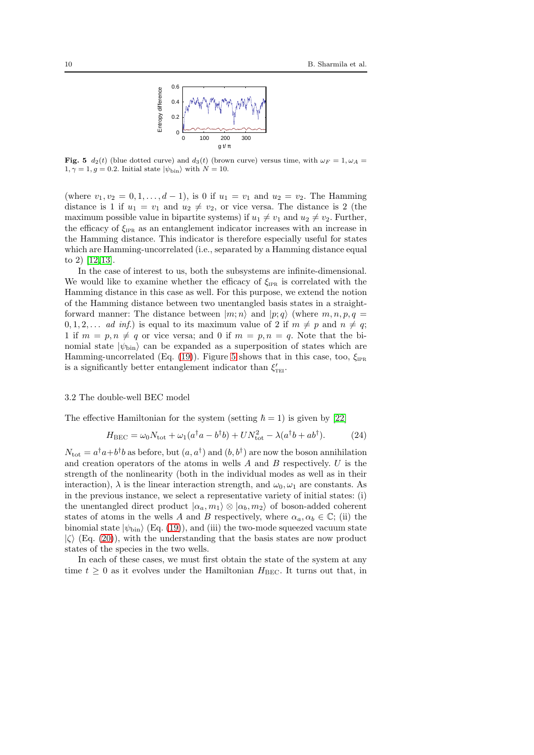

<span id="page-9-0"></span>Fig. 5  $d_2(t)$  (blue dotted curve) and  $d_3(t)$  (brown curve) versus time, with  $\omega_F = 1, \omega_A =$  $1, \gamma = 1, g = 0.2$ . Initial state  $|\psi_{\text{bin}}\rangle$  with  $N = 10$ .

(where  $v_1, v_2 = 0, 1, \ldots, d - 1$ ), is 0 if  $u_1 = v_1$  and  $u_2 = v_2$ . The Hamming distance is 1 if  $u_1 = v_1$  and  $u_2 \neq v_2$ , or vice versa. The distance is 2 (the maximum possible value in bipartite systems) if  $u_1 \neq v_1$  and  $u_2 \neq v_2$ . Further, the efficacy of  $\xi_{\text{IPR}}$  as an entanglement indicator increases with an increase in the Hamming distance. This indicator is therefore especially useful for states which are Hamming-uncorrelated (i.e., separated by a Hamming distance equal to 2) [\[12,](#page-15-11)[13\]](#page-15-12).

In the case of interest to us, both the subsystems are infinite-dimensional. We would like to examine whether the efficacy of  $\xi_{\text{IPR}}$  is correlated with the Hamming distance in this case as well. For this purpose, we extend the notion of the Hamming distance between two unentangled basis states in a straightforward manner: The distance between  $|m; n\rangle$  and  $|p; q\rangle$  (where  $m, n, p, q =$  $0, 1, 2, \ldots$  ad inf.) is equal to its maximum value of 2 if  $m \neq p$  and  $n \neq q$ ; 1 if  $m = p, n \neq q$  or vice versa; and 0 if  $m = p, n = q$ . Note that the binomial state  $|\psi_{\text{bin}}\rangle$  can be expanded as a superposition of states which are Hamming-uncorrelated (Eq. [\(19\)](#page-6-0)). Figure [5](#page-9-0) shows that in this case, too,  $\xi_{IPR}$ is a significantly better entanglement indicator than  $\xi'_{\text{ref}}$ .

#### 3.2 The double-well BEC model

The effective Hamiltonian for the system (setting  $\hbar = 1$ ) is given by [\[22\]](#page-15-21)

<span id="page-9-1"></span>
$$
H_{\rm BEC} = \omega_0 N_{\rm tot} + \omega_1 (a^\dagger a - b^\dagger b) + U N_{\rm tot}^2 - \lambda (a^\dagger b + a b^\dagger). \tag{24}
$$

 $N_{\text{tot}} = a^{\dagger}a + b^{\dagger}b$  as before, but  $(a, a^{\dagger})$  and  $(b, b^{\dagger})$  are now the boson annihilation and creation operators of the atoms in wells  $A$  and  $B$  respectively.  $U$  is the strength of the nonlinearity (both in the individual modes as well as in their interaction),  $\lambda$  is the linear interaction strength, and  $\omega_0, \omega_1$  are constants. As in the previous instance, we select a representative variety of initial states: (i) the unentangled direct product  $|\alpha_a, m_1\rangle \otimes |\alpha_b, m_2\rangle$  of boson-added coherent states of atoms in the wells A and B respectively, where  $\alpha_a, \alpha_b \in \mathbb{C}$ ; (ii) the binomial state  $|\psi_{\text{bin}}\rangle$  (Eq. [\(19\)](#page-6-0)), and (iii) the two-mode squeezed vacuum state  $|\zeta\rangle$  (Eq. [\(20\)](#page-6-1)), with the understanding that the basis states are now product states of the species in the two wells.

In each of these cases, we must first obtain the state of the system at any time  $t \geq 0$  as it evolves under the Hamiltonian  $H_{\text{BEC}}$ . It turns out that, in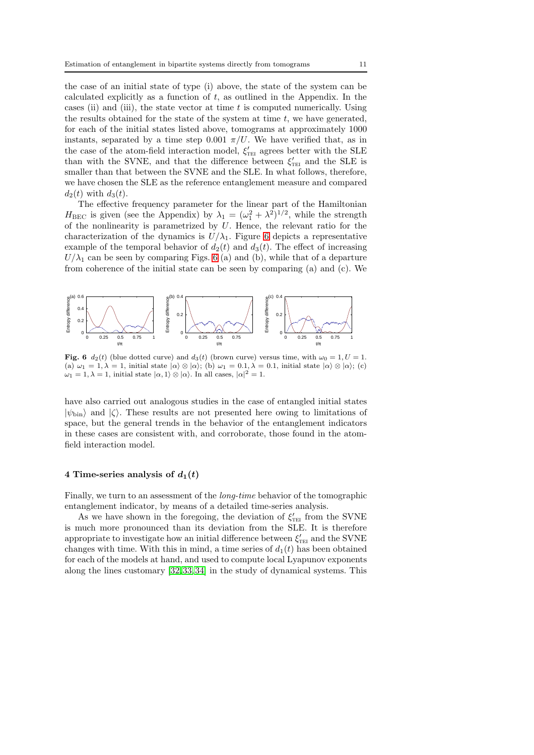the case of an initial state of type (i) above, the state of the system can be calculated explicitly as a function of  $t$ , as outlined in the Appendix. In the cases (ii) and (iii), the state vector at time  $t$  is computed numerically. Using the results obtained for the state of the system at time  $t$ , we have generated, for each of the initial states listed above, tomograms at approximately 1000 instants, separated by a time step 0.001  $\pi/U$ . We have verified that, as in the case of the atom-field interaction model,  $\xi'_{\text{ref}}$  agrees better with the SLE than with the SVNE, and that the difference between  $\xi'_{\text{TEI}}$  and the SLE is smaller than that between the SVNE and the SLE. In what follows, therefore, we have chosen the SLE as the reference entanglement measure and compared  $d_2(t)$  with  $d_3(t)$ .

The effective frequency parameter for the linear part of the Hamiltonian  $H_{\text{BEC}}$  is given (see the Appendix) by  $\lambda_1 = (\omega_1^2 + \lambda^2)^{1/2}$ , while the strength of the nonlinearity is parametrized by  $U$ . Hence, the relevant ratio for the characterization of the dynamics is  $U/\lambda_1$ . Figure [6](#page-10-1) depicts a representative example of the temporal behavior of  $d_2(t)$  and  $d_3(t)$ . The effect of increasing  $U/\lambda_1$  can be seen by comparing Figs. [6](#page-10-1) (a) and (b), while that of a departure from coherence of the initial state can be seen by comparing (a) and (c). We



<span id="page-10-1"></span>Fig. 6  $d_2(t)$  (blue dotted curve) and  $d_3(t)$  (brown curve) versus time, with  $\omega_0 = 1, U = 1$ . (a)  $\omega_1 = 1, \lambda = 1$ , initial state  $|\alpha\rangle \otimes |\alpha\rangle$ ; (b)  $\omega_1 = 0.1, \lambda = 0.1$ , initial state  $|\alpha\rangle \otimes |\alpha\rangle$ ; (c)  $\omega_1 = 1, \lambda = 1$ , initial state  $|\alpha, 1\rangle \otimes |\alpha\rangle$ . In all cases,  $|\alpha|^2 = 1$ .

have also carried out analogous studies in the case of entangled initial states  $|\psi_{\text{bin}}\rangle$  and  $|\zeta\rangle$ . These results are not presented here owing to limitations of space, but the general trends in the behavior of the entanglement indicators in these cases are consistent with, and corroborate, those found in the atomfield interaction model.

# <span id="page-10-0"></span>4 Time-series analysis of  $d_1(t)$

Finally, we turn to an assessment of the long-time behavior of the tomographic entanglement indicator, by means of a detailed time-series analysis.

As we have shown in the foregoing, the deviation of  $\xi'_{\text{TEI}}$  from the SVNE is much more pronounced than its deviation from the SLE. It is therefore appropriate to investigate how an initial difference between  $\xi'_{\text{TEI}}$  and the SVNE changes with time. With this in mind, a time series of  $d_1(t)$  has been obtained for each of the models at hand, and used to compute local Lyapunov exponents along the lines customary [\[32,](#page-15-31)[33,](#page-15-32)[34\]](#page-15-33) in the study of dynamical systems. This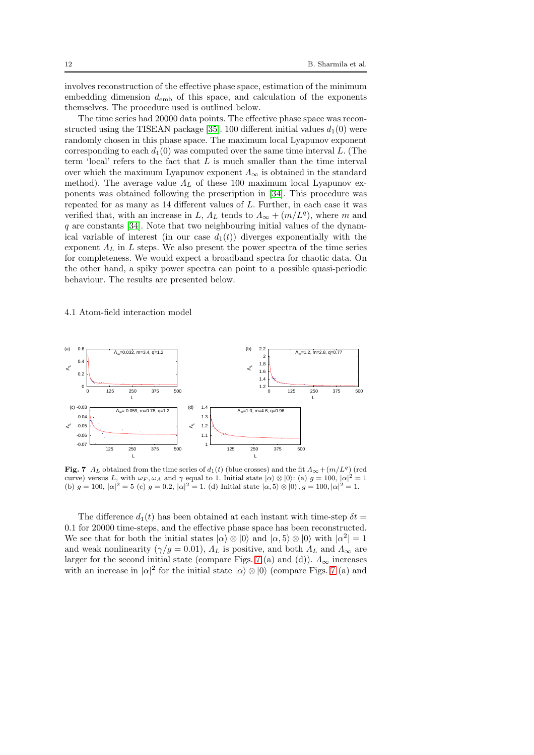involves reconstruction of the effective phase space, estimation of the minimum embedding dimension  $d_{\rm emb}$  of this space, and calculation of the exponents themselves. The procedure used is outlined below.

The time series had 20000 data points. The effective phase space was recon-structed using the TISEAN package [\[35\]](#page-15-34). 100 different initial values  $d_1(0)$  were randomly chosen in this phase space. The maximum local Lyapunov exponent corresponding to each  $d_1(0)$  was computed over the same time interval L. (The term 'local' refers to the fact that  $L$  is much smaller than the time interval over which the maximum Lyapunov exponent  $\Lambda_{\infty}$  is obtained in the standard method). The average value  $\Lambda_L$  of these 100 maximum local Lyapunov exponents was obtained following the prescription in [\[34\]](#page-15-33). This procedure was repeated for as many as 14 different values of L. Further, in each case it was verified that, with an increase in L,  $\Lambda_L$  tends to  $\Lambda_{\infty} + (m/L^q)$ , where m and q are constants [\[34\]](#page-15-33). Note that two neighbouring initial values of the dynamical variable of interest (in our case  $d_1(t)$ ) diverges exponentially with the exponent  $\Lambda_L$  in L steps. We also present the power spectra of the time series for completeness. We would expect a broadband spectra for chaotic data. On the other hand, a spiky power spectra can point to a possible quasi-periodic behaviour. The results are presented below.

4.1 Atom-field interaction model



<span id="page-11-0"></span>Fig. 7  $\Lambda_L$  obtained from the time series of  $d_1(t)$  (blue crosses) and the fit  $\Lambda_{\infty} + (m/L^q)$  (red curve) versus L, with  $\omega_F$ ,  $\omega_A$  and  $\gamma$  equal to 1. Initial state  $|\alpha\rangle \otimes |0\rangle$ : (a)  $g = 100$ ,  $|\alpha|^2 = 1$ (b)  $g = 100$ ,  $|\alpha|^2 = 5$  (c)  $g = 0.2$ ,  $|\alpha|^2 = 1$ . (d) Initial state  $|\alpha, 5\rangle \otimes |0\rangle$ ,  $g = 100$ ,  $|\alpha|^2 = 1$ .

The difference  $d_1(t)$  has been obtained at each instant with time-step  $\delta t =$ 0.1 for 20000 time-steps, and the effective phase space has been reconstructed. We see that for both the initial states  $|\alpha\rangle \otimes |0\rangle$  and  $|\alpha, 5\rangle \otimes |0\rangle$  with  $|\alpha^2| = 1$ and weak nonlinearity ( $\gamma/g = 0.01$ ),  $\Lambda_L$  is positive, and both  $\Lambda_L$  and  $\Lambda_{\infty}$  are larger for the second initial state (compare Figs. [7](#page-11-0) (a) and (d)).  $\Lambda_{\infty}$  increases with an increase in  $|\alpha|^2$  for the initial state  $|\alpha\rangle \otimes |0\rangle$  (compare Figs. [7](#page-11-0) (a) and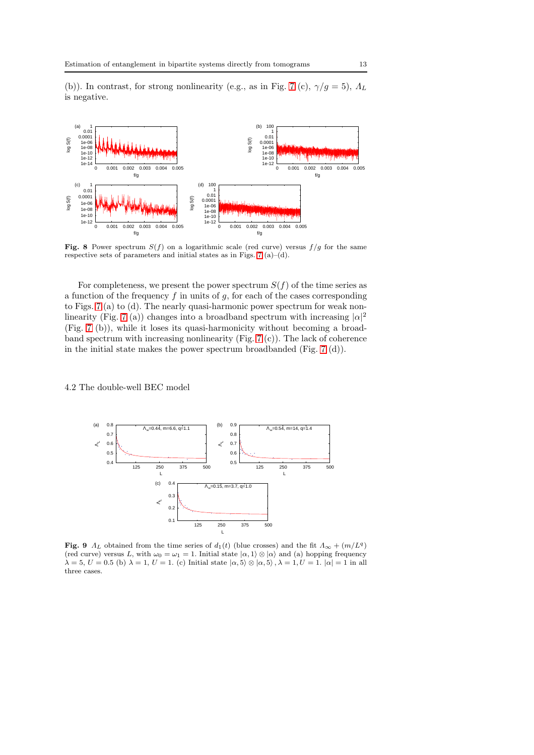(b)). In contrast, for strong nonlinearity (e.g., as in Fig. [7](#page-11-0) (c),  $\gamma/g = 5$ ),  $\Lambda_L$ is negative.



Fig. 8 Power spectrum  $S(f)$  on a logarithmic scale (red curve) versus  $f/g$  for the same respective sets of parameters and initial states as in Figs. [7](#page-11-0) (a)–(d).

For completeness, we present the power spectrum  $S(f)$  of the time series as a function of the frequency  $f$  in units of  $g$ , for each of the cases corresponding to Figs. [7](#page-11-0) (a) to (d). The nearly quasi-harmonic power spectrum for weak non-linearity (Fig. [7](#page-11-0) (a)) changes into a broadband spectrum with increasing  $|\alpha|^2$ (Fig. [7](#page-11-0) (b)), while it loses its quasi-harmonicity without becoming a broadband spectrum with increasing nonlinearity (Fig. [7](#page-11-0) (c)). The lack of coherence in the initial state makes the power spectrum broadbanded (Fig. [7](#page-11-0) (d)).

4.2 The double-well BEC model



<span id="page-12-0"></span>Fig. 9  $\Lambda_L$  obtained from the time series of  $d_1(t)$  (blue crosses) and the fit  $\Lambda_{\infty} + (m/L^q)$ (red curve) versus L, with  $\omega_0 = \omega_1 = 1$ . Initial state  $|\alpha, 1\rangle \otimes |\alpha\rangle$  and (a) hopping frequency  $\lambda = 5, U = 0.5$  (b)  $\lambda = 1, U = 1$ . (c) Initial state  $|\alpha, 5\rangle \otimes |\alpha, 5\rangle$ ,  $\lambda = 1, U = 1$ .  $|\alpha| = 1$  in all three cases.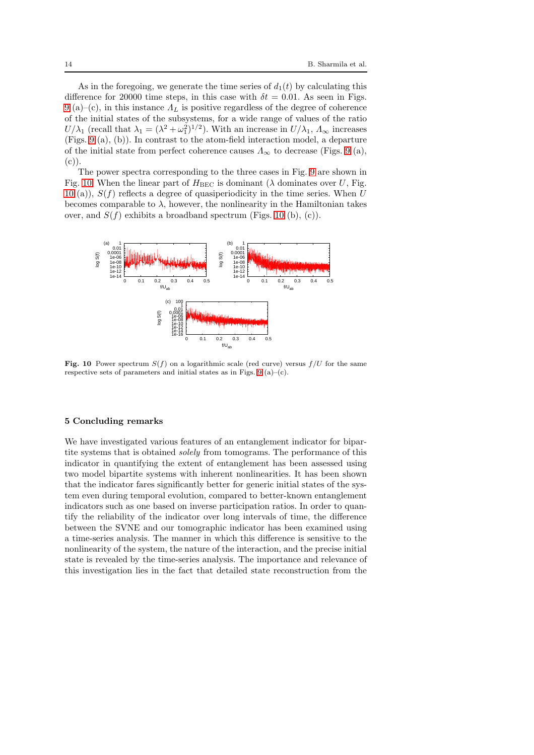As in the foregoing, we generate the time series of  $d_1(t)$  by calculating this difference for 20000 time steps, in this case with  $\delta t = 0.01$ . As seen in Figs. [9](#page-12-0) (a)–(c), in this instance  $\Lambda_L$  is positive regardless of the degree of coherence of the initial states of the subsystems, for a wide range of values of the ratio  $U/\lambda_1$  (recall that  $\lambda_1 = (\lambda^2 + \omega_1^2)^{1/2}$ ). With an increase in  $U/\lambda_1$ ,  $\Lambda_\infty$  increases (Figs. [9](#page-12-0) (a), (b)). In contrast to the atom-field interaction model, a departure of the initial state from perfect coherence causes  $\Lambda_{\infty}$  to decrease (Figs. [9](#page-12-0) (a),  $(c)$ ).

The power spectra corresponding to the three cases in Fig. [9](#page-12-0) are shown in Fig. [10.](#page-13-0) When the linear part of  $H_{\text{BEC}}$  is dominant ( $\lambda$  dominates over U, Fig. [10](#page-13-0) (a)),  $S(f)$  reflects a degree of quasiperiodicity in the time series. When U becomes comparable to  $\lambda$ , however, the nonlinearity in the Hamiltonian takes over, and  $S(f)$  exhibits a broadband spectrum (Figs. [10](#page-13-0) (b), (c)).



<span id="page-13-0"></span>Fig. 10 Power spectrum  $S(f)$  on a logarithmic scale (red curve) versus  $f/U$  for the same respective sets of parameters and initial states as in Figs.  $9(a)-(c)$  $9(a)-(c)$ .

#### 5 Concluding remarks

We have investigated various features of an entanglement indicator for bipartite systems that is obtained *solely* from tomograms. The performance of this indicator in quantifying the extent of entanglement has been assessed using two model bipartite systems with inherent nonlinearities. It has been shown that the indicator fares significantly better for generic initial states of the system even during temporal evolution, compared to better-known entanglement indicators such as one based on inverse participation ratios. In order to quantify the reliability of the indicator over long intervals of time, the difference between the SVNE and our tomographic indicator has been examined using a time-series analysis. The manner in which this difference is sensitive to the nonlinearity of the system, the nature of the interaction, and the precise initial state is revealed by the time-series analysis. The importance and relevance of this investigation lies in the fact that detailed state reconstruction from the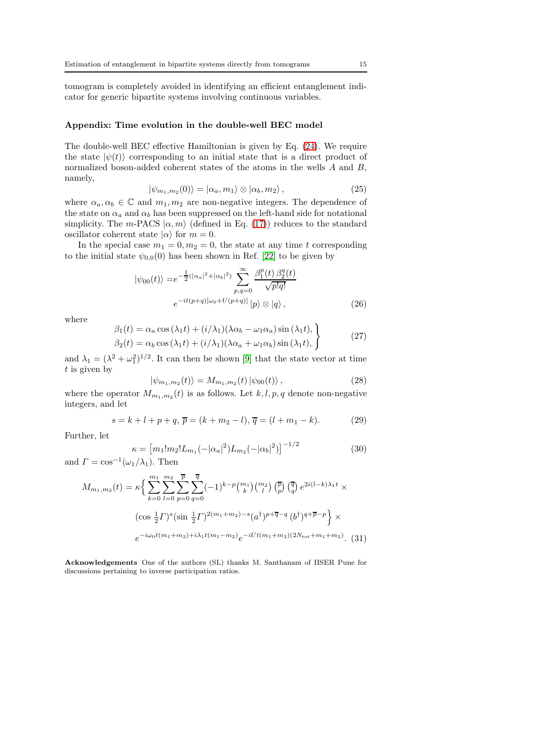tomogram is completely avoided in identifying an efficient entanglement indicator for generic bipartite systems involving continuous variables.

#### Appendix: Time evolution in the double-well BEC model

The double-well BEC effective Hamiltonian is given by Eq. [\(24\)](#page-9-1). We require the state  $|\psi(t)\rangle$  corresponding to an initial state that is a direct product of normalized boson-added coherent states of the atoms in the wells A and B, namely,

$$
|\psi_{m_1,m_2}(0)\rangle = |\alpha_a,m_1\rangle \otimes |\alpha_b,m_2\rangle, \qquad (25)
$$

where  $\alpha_a, \alpha_b \in \mathbb{C}$  and  $m_1, m_2$  are non-negative integers. The dependence of the state on  $\alpha_a$  and  $\alpha_b$  has been suppressed on the left-hand side for notational simplicity. The m-PACS  $|\alpha, m\rangle$  (defined in Eq. [\(17\)](#page-6-2)) reduces to the standard oscillator coherent state  $|\alpha\rangle$  for  $m = 0$ .

In the special case  $m_1 = 0, m_2 = 0$ , the state at any time t corresponding to the initial state  $\psi_{0,0}(0)$  has been shown in Ref. [\[22\]](#page-15-21) to be given by

$$
|\psi_{00}(t)\rangle = e^{-\frac{1}{2}(|\alpha_a|^2 + |\alpha_b|^2)} \sum_{p,q=0}^{\infty} \frac{\beta_1^p(t)\,\beta_2^q(t)}{\sqrt{p!q!}}
$$

$$
e^{-it(p+q)[\omega_0 + U(p+q)]} |p\rangle \otimes |q\rangle, \qquad (26)
$$

where

$$
\beta_1(t) = \alpha_a \cos(\lambda_1 t) + (i/\lambda_1)(\lambda \alpha_b - \omega_1 \alpha_a) \sin(\lambda_1 t), \n\beta_2(t) = \alpha_b \cos(\lambda_1 t) + (i/\lambda_1)(\lambda \alpha_a + \omega_1 \alpha_b) \sin(\lambda_1 t),
$$
\n(27)

and  $\lambda_1 = (\lambda^2 + \omega_1^2)^{1/2}$ . It can then be shown [\[9\]](#page-15-8) that the state vector at time  $t$  is given by

$$
|\psi_{m_1,m_2}(t)\rangle = M_{m_1,m_2}(t) |\psi_{00}(t)\rangle ,
$$
\n(28)

where the operator  $M_{m_1,m_2}(t)$  is as follows. Let  $k, l, p, q$  denote non-negative integers, and let

$$
s = k + l + p + q, \overline{p} = (k + m_2 - l), \overline{q} = (l + m_1 - k). \tag{29}
$$

Further, let

$$
\kappa = [m_1! m_2! L_{m_1}(-|\alpha_a|^2) L_{m_2}(-|\alpha_b|^2)]^{-1/2}
$$
\n(30)

and  $\Gamma = \cos^{-1}(\omega_1/\lambda_1)$ . Then

$$
M_{m_1,m_2}(t) = \kappa \Big\{ \sum_{k=0}^{m_1} \sum_{l=0}^{m_2} \sum_{p=0}^{\overline{p}} \sum_{q=0}^{\overline{q}} (-1)^{k-p} \binom{m_1}{k} \binom{m_2}{l} \binom{\overline{p}}{p} \binom{\overline{q}}{q} e^{2i(l-k)\lambda_1 t} \times
$$
  

$$
(\cos \frac{1}{2} \Gamma)^s (\sin \frac{1}{2} \Gamma)^{2(m_1+m_2)-s} (a^{\dagger})^{p+\overline{q}-q} (b^{\dagger})^{q+\overline{p}-p} \Big\} \times
$$
  

$$
e^{-i\omega_0 t(m_1+m_2)+i\lambda_1 t(m_1-m_2)} e^{-iUt(m_1+m_2)(2N_{\text{tot}}+m_1+m_2)}.
$$
 (31)

Acknowledgements One of the authors (SL) thanks M. Santhanam of IISER Pune for discussions pertaining to inverse participation ratios.